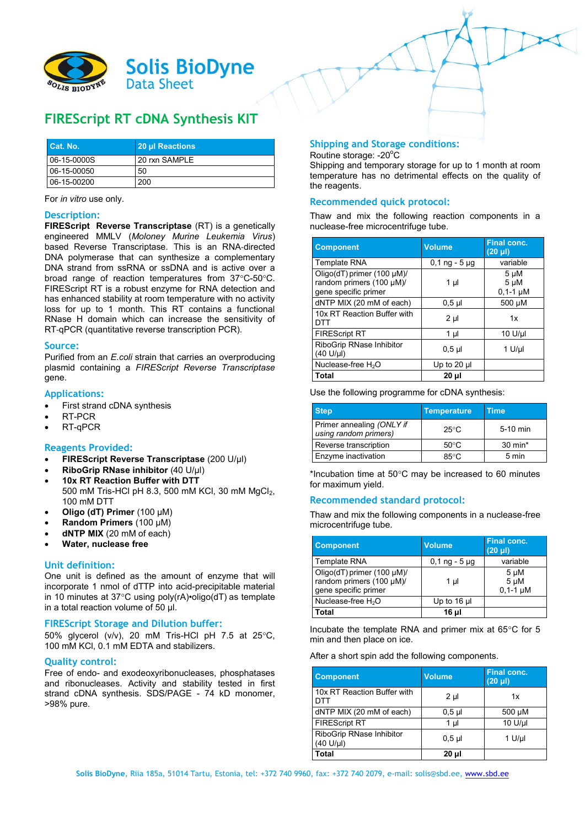

# **FIREScript RT cDNA Synthesis KIT**

| <b>Cat. No.</b> | 20 µl Reactions |
|-----------------|-----------------|
| $06-15-0000S$   | 20 rxn SAMPLE   |
| $06-15-00050$   | 50              |
| $06-15-00200$   | 200             |

For *in vitro* use only.

#### **Description:**

**FIREScript Reverse Transcriptase** (RT) is a genetically engineered MMLV (*Moloney Murine Leukemia Virus*) based Reverse Transcriptase. This is an RNA‐directed DNA polymerase that can synthesize a complementary DNA strand from ssRNA or ssDNA and is active over a broad range of reaction temperatures from  $37^{\circ}$ C-50 $^{\circ}$ C. FIREScript RT is a robust enzyme for RNA detection and has enhanced stability at room temperature with no activity loss for up to 1 month. This RT contains a functional RNase H domain which can increase the sensitivity of RT‐qPCR (quantitative reverse transcription PCR).

#### **Source:**

Purified from an *E.coli* strain that carries an overproducing plasmid containing a *FIREScript Reverse Transcriptase* gene.

#### **Applications:**

- First strand cDNA synthesis
- RT-PCR
- RT-qPCR

#### **Reagents Provided:**

- **FIREScript Reverse Transcriptase** (200 U/μl)
- **RiboGrip RNase inhibitor** (40 U/μl)
- **10x RT Reaction Buffer with DTT** 500 mM Tris-HCl pH 8.3, 500 mM KCl, 30 mM MgCl<sub>2</sub>,
- 100 mM DTT
- **Oligo (dT) Primer** (100 µM)
- **Random Primers** (100 µM)
- **dNTP MIX** (20 mM of each)
- **Water, nuclease free**

#### **Unit definition:**

One unit is defined as the amount of enzyme that will incorporate 1 nmol of dTTP into acid-precipitable material in 10 minutes at 37 $\degree$ C using poly(rA)•oligo(dT) as template in a total reaction volume of 50 μl.

#### **FIREScript Storage and Dilution buffer:**

50% glycerol (v/v), 20 mM Tris-HCl pH 7.5 at 25 $^{\circ}$ C, 100 mM KCl, 0.1 mM EDTA and stabilizers.

#### **Quality control:**

Free of endo- and exodeoxyribonucleases, phosphatases and ribonucleases. Activity and stability tested in first strand cDNA synthesis. SDS/PAGE - 74 kD monomer, >98% pure.

# **Shipping and Storage conditions:**

Routine storage: -20°C

Shipping and temporary storage for up to 1 month at room temperature has no detrimental effects on the quality of the reagents.

## **Recommended quick protocol:**

Thaw and mix the following reaction components in a nuclease-free microcentrifuge tube.

| <b>Component</b>                                                               | <b>Volume</b>   | <b>Final conc.</b><br>$(20 \text{ }\mu\text{I})$ |
|--------------------------------------------------------------------------------|-----------------|--------------------------------------------------|
| <b>Template RNA</b>                                                            | $0,1$ ng - 5 µg | variable                                         |
| Oligo(dT) primer (100 µM)/<br>random primers (100 µM)/<br>gene specific primer | $1 \mu$         | $5 \mu M$<br>$5 \mu M$<br>$0,1-1 \mu M$          |
| dNTP MIX (20 mM of each)                                                       | 0.5 µl          | 500 µM                                           |
| 10x RT Reaction Buffer with<br>DTT                                             | $2 \mu$         | 1x                                               |
| <b>FIREScript RT</b>                                                           | $1 \mu$         | $10 U/\mu$                                       |
| RiboGrip RNase Inhibitor<br>$(40 \text{ U/}\mu l)$                             | $0.5$ µl        | $1$ U/µl                                         |
| Nuclease-free H <sub>2</sub> O                                                 | Up to $20$ µ    |                                                  |
| Total                                                                          | 20 µl           |                                                  |

Use the following programme for cDNA synthesis:

| <b>Step</b>                                        | <b>Temperature</b> | <b>Time</b>        |
|----------------------------------------------------|--------------------|--------------------|
| Primer annealing (ONLY if<br>using random primers) | $25^{\circ}$ C     | 5-10 min           |
| Reverse transcription                              | $50^{\circ}$ C     | $30 \text{ min}^*$ |
| Enzyme inactivation                                | $85^{\circ}$ C     | 5 min              |

\*Incubation time at  $50^{\circ}$ C may be increased to 60 minutes for maximum yield.

## **Recommended standard protocol:**

Thaw and mix the following components in a nuclease-free microcentrifuge tube.

| <b>Component</b>                                                               | <b>Volume</b>   | <b>Final conc.</b><br>$(20 \mu l)$   |
|--------------------------------------------------------------------------------|-----------------|--------------------------------------|
| <b>Template RNA</b>                                                            | $0,1$ ng - 5 µg | variable                             |
| Oligo(dT) primer (100 µM)/<br>random primers (100 µM)/<br>gene specific primer | 1 µl            | 5 µM<br>$5 \mu M$<br>$0.1 - 1 \mu M$ |
| Nuclease-free H <sub>2</sub> O                                                 | Up to $16$ µ    |                                      |
| Total                                                                          | 16 ul           |                                      |

Incubate the template RNA and primer mix at  $65^{\circ}$ C for 5 min and then place on ice.

After a short spin add the following components.

| <b>Component</b>                      | <b>Volume</b> | Final conc.<br>$(20 \mu l)$ |
|---------------------------------------|---------------|-----------------------------|
| 10x RT Reaction Buffer with<br>DTT    | $2 \mu$       | 1x                          |
| dNTP MIX (20 mM of each)              | $0.5$ µl      | 500 µM                      |
| <b>FIREScript RT</b>                  | 1 µl          | 10 U/µl                     |
| RiboGrip RNase Inhibitor<br>(40 U/µl) | $0,5$ µl      | $1$ U/µl                    |
| Total                                 | 20 ul         |                             |